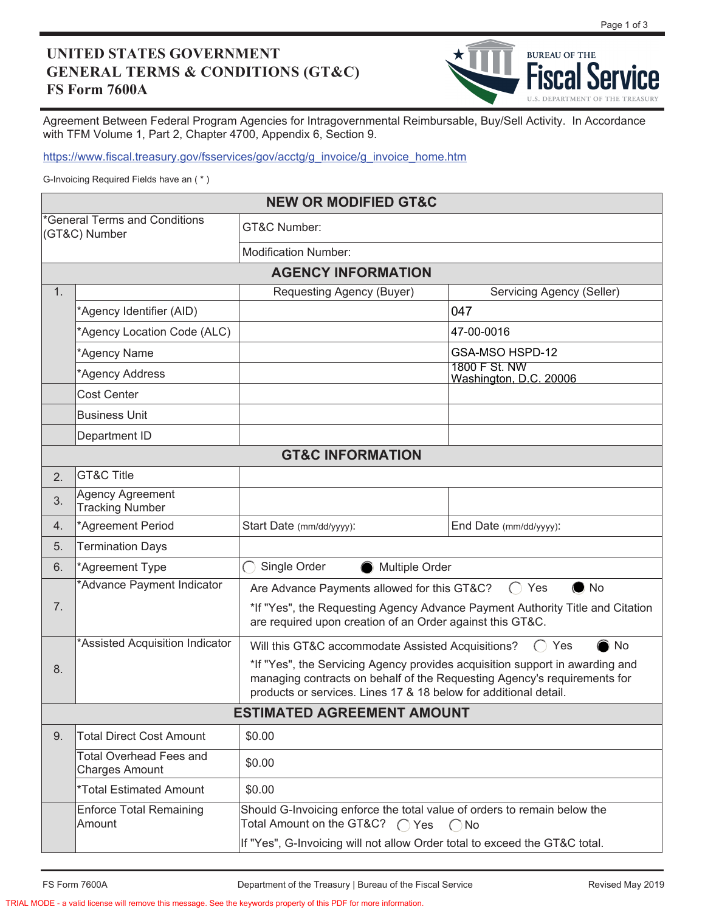## **UNITED STATES GOVERNMENT GENERAL TERMS & CONDITIONS (GT&C) FS Form 7600A**



Agreement Between Federal Program Agencies for Intragovernmental Reimbursable, Buy/Sell Activity. In Accordance with TFM Volume 1, Part 2, Chapter 4700, Appendix 6, Section 9.

https://www.fiscal.treasury.gov/fsservices/gov/acctg/g\_invoice/g\_invoice\_home.htm

G-Invoicing Required Fields have an ( \* )

| <b>NEW OR MODIFIED GT&amp;C</b>                |                                                         |                                                                                                                                                                                                                               |                                                                                          |  |  |  |
|------------------------------------------------|---------------------------------------------------------|-------------------------------------------------------------------------------------------------------------------------------------------------------------------------------------------------------------------------------|------------------------------------------------------------------------------------------|--|--|--|
| *General Terms and Conditions<br>(GT&C) Number |                                                         | GT&C Number:                                                                                                                                                                                                                  |                                                                                          |  |  |  |
|                                                |                                                         | <b>Modification Number:</b>                                                                                                                                                                                                   |                                                                                          |  |  |  |
| <b>AGENCY INFORMATION</b>                      |                                                         |                                                                                                                                                                                                                               |                                                                                          |  |  |  |
| 1.                                             |                                                         | Requesting Agency (Buyer)                                                                                                                                                                                                     | Servicing Agency (Seller)                                                                |  |  |  |
|                                                | *Agency Identifier (AID)                                |                                                                                                                                                                                                                               | 047                                                                                      |  |  |  |
|                                                | *Agency Location Code (ALC)                             |                                                                                                                                                                                                                               | 47-00-0016                                                                               |  |  |  |
|                                                | *Agency Name                                            |                                                                                                                                                                                                                               | GSA-MSO HSPD-12                                                                          |  |  |  |
|                                                | *Agency Address                                         |                                                                                                                                                                                                                               | 1800 F St. NW<br>Washington, D.C. 20006                                                  |  |  |  |
|                                                | <b>Cost Center</b>                                      |                                                                                                                                                                                                                               |                                                                                          |  |  |  |
|                                                | <b>Business Unit</b>                                    |                                                                                                                                                                                                                               |                                                                                          |  |  |  |
|                                                | Department ID                                           |                                                                                                                                                                                                                               |                                                                                          |  |  |  |
| <b>GT&amp;C INFORMATION</b>                    |                                                         |                                                                                                                                                                                                                               |                                                                                          |  |  |  |
| 2.                                             | <b>GT&amp;C Title</b>                                   |                                                                                                                                                                                                                               |                                                                                          |  |  |  |
| 3.                                             | Agency Agreement<br><b>Tracking Number</b>              |                                                                                                                                                                                                                               |                                                                                          |  |  |  |
| 4.                                             | *Agreement Period                                       | Start Date (mm/dd/yyyy):                                                                                                                                                                                                      | End Date (mm/dd/yyyy):                                                                   |  |  |  |
| 5.                                             | <b>Termination Days</b>                                 |                                                                                                                                                                                                                               |                                                                                          |  |  |  |
| 6.                                             | *Agreement Type                                         | $\bigcap$<br>Single Order<br>Multiple Order                                                                                                                                                                                   |                                                                                          |  |  |  |
| 7.                                             | *Advance Payment Indicator                              | $\bullet$ No<br>Are Advance Payments allowed for this GT&C?<br>$\bigcap$<br>Yes<br>*If "Yes", the Requesting Agency Advance Payment Authority Title and Citation<br>are required upon creation of an Order against this GT&C. |                                                                                          |  |  |  |
|                                                | *Assisted Acquisition Indicator                         | No<br>Will this GT&C accommodate Assisted Acquisitions?<br>Yes                                                                                                                                                                |                                                                                          |  |  |  |
| 8.                                             |                                                         | *If "Yes", the Servicing Agency provides acquisition support in awarding and<br>managing contracts on behalf of the Requesting Agency's requirements for<br>products or services. Lines 17 & 18 below for additional detail.  |                                                                                          |  |  |  |
| <b>ESTIMATED AGREEMENT AMOUNT</b>              |                                                         |                                                                                                                                                                                                                               |                                                                                          |  |  |  |
| 9.                                             | <b>Total Direct Cost Amount</b>                         | \$0.00                                                                                                                                                                                                                        |                                                                                          |  |  |  |
|                                                | <b>Total Overhead Fees and</b><br><b>Charges Amount</b> | \$0.00                                                                                                                                                                                                                        |                                                                                          |  |  |  |
|                                                | *Total Estimated Amount                                 | \$0.00                                                                                                                                                                                                                        |                                                                                          |  |  |  |
|                                                | Enforce Total Remaining<br><b>Amount</b>                | Total Amount on the GT&C? ∩ Yes                                                                                                                                                                                               | Should G-Invoicing enforce the total value of orders to remain below the<br>$\bigcap$ No |  |  |  |
|                                                |                                                         | If "Yes", G-Invoicing will not allow Order total to exceed the GT&C total.                                                                                                                                                    |                                                                                          |  |  |  |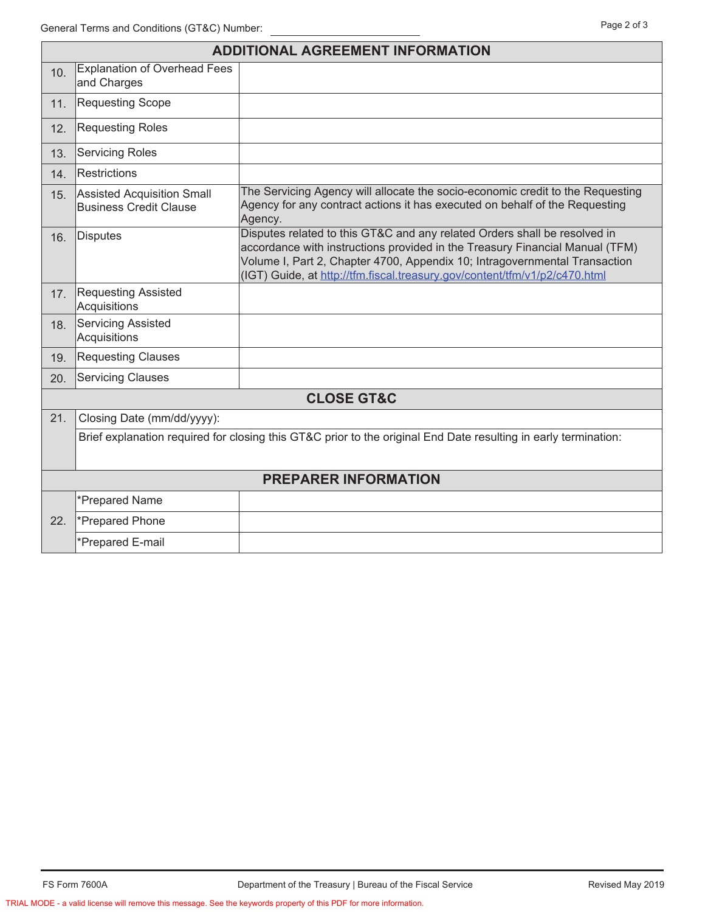| <b>ADDITIONAL AGREEMENT INFORMATION</b> |                                                                                                                 |                                                                                                                                                                                                                                                                                                                       |  |  |  |  |
|-----------------------------------------|-----------------------------------------------------------------------------------------------------------------|-----------------------------------------------------------------------------------------------------------------------------------------------------------------------------------------------------------------------------------------------------------------------------------------------------------------------|--|--|--|--|
| 10.                                     | <b>Explanation of Overhead Fees</b><br>and Charges                                                              |                                                                                                                                                                                                                                                                                                                       |  |  |  |  |
| 11.                                     | <b>Requesting Scope</b>                                                                                         |                                                                                                                                                                                                                                                                                                                       |  |  |  |  |
| 12.                                     | <b>Requesting Roles</b>                                                                                         |                                                                                                                                                                                                                                                                                                                       |  |  |  |  |
| 13.                                     | <b>Servicing Roles</b>                                                                                          |                                                                                                                                                                                                                                                                                                                       |  |  |  |  |
| 14.                                     | Restrictions                                                                                                    |                                                                                                                                                                                                                                                                                                                       |  |  |  |  |
| 15.                                     | <b>Assisted Acquisition Small</b><br><b>Business Credit Clause</b>                                              | The Servicing Agency will allocate the socio-economic credit to the Requesting<br>Agency for any contract actions it has executed on behalf of the Requesting<br>Agency.                                                                                                                                              |  |  |  |  |
| 16.                                     | Disputes                                                                                                        | Disputes related to this GT&C and any related Orders shall be resolved in<br>accordance with instructions provided in the Treasury Financial Manual (TFM)<br>Volume I, Part 2, Chapter 4700, Appendix 10; Intragovernmental Transaction<br>(IGT) Guide, at http://tfm.fiscal.treasury.gov/content/tfm/v1/p2/c470.html |  |  |  |  |
| 17.                                     | <b>Requesting Assisted</b><br>Acquisitions                                                                      |                                                                                                                                                                                                                                                                                                                       |  |  |  |  |
| 18.                                     | <b>Servicing Assisted</b><br>Acquisitions                                                                       |                                                                                                                                                                                                                                                                                                                       |  |  |  |  |
| 19.                                     | <b>Requesting Clauses</b>                                                                                       |                                                                                                                                                                                                                                                                                                                       |  |  |  |  |
| 20.                                     | <b>Servicing Clauses</b>                                                                                        |                                                                                                                                                                                                                                                                                                                       |  |  |  |  |
| <b>CLOSE GT&amp;C</b>                   |                                                                                                                 |                                                                                                                                                                                                                                                                                                                       |  |  |  |  |
| 21.                                     | Closing Date (mm/dd/yyyy):                                                                                      |                                                                                                                                                                                                                                                                                                                       |  |  |  |  |
|                                         | Brief explanation required for closing this GT&C prior to the original End Date resulting in early termination: |                                                                                                                                                                                                                                                                                                                       |  |  |  |  |
|                                         |                                                                                                                 |                                                                                                                                                                                                                                                                                                                       |  |  |  |  |
| <b>PREPARER INFORMATION</b>             |                                                                                                                 |                                                                                                                                                                                                                                                                                                                       |  |  |  |  |
|                                         | *Prepared Name                                                                                                  |                                                                                                                                                                                                                                                                                                                       |  |  |  |  |
| 22.                                     | *Prepared Phone                                                                                                 |                                                                                                                                                                                                                                                                                                                       |  |  |  |  |
|                                         | *Prepared E-mail                                                                                                |                                                                                                                                                                                                                                                                                                                       |  |  |  |  |